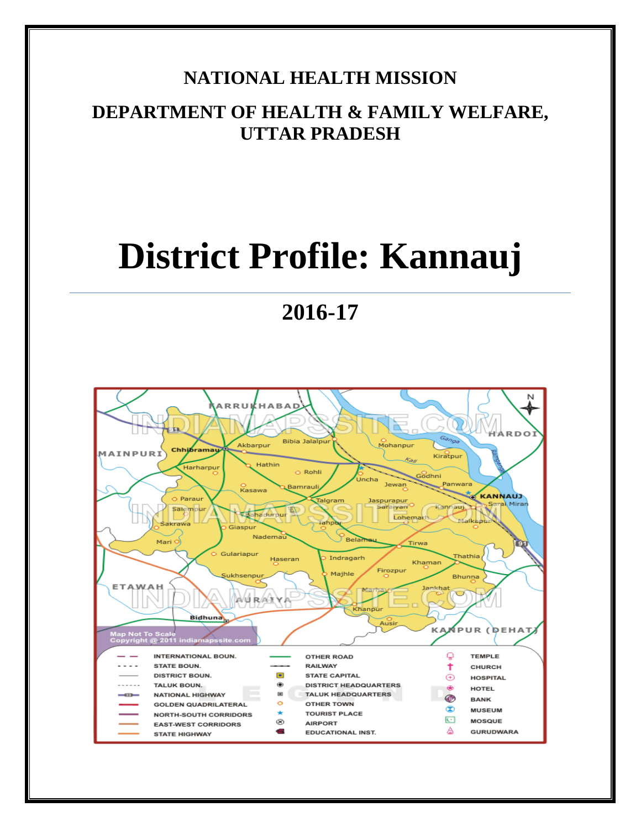#### **NATIONAL HEALTH MISSION**

### **DEPARTMENT OF HEALTH & FAMILY WELFARE, UTTAR PRADESH**

# **District Profile: Kannauj**

## **2016-17**

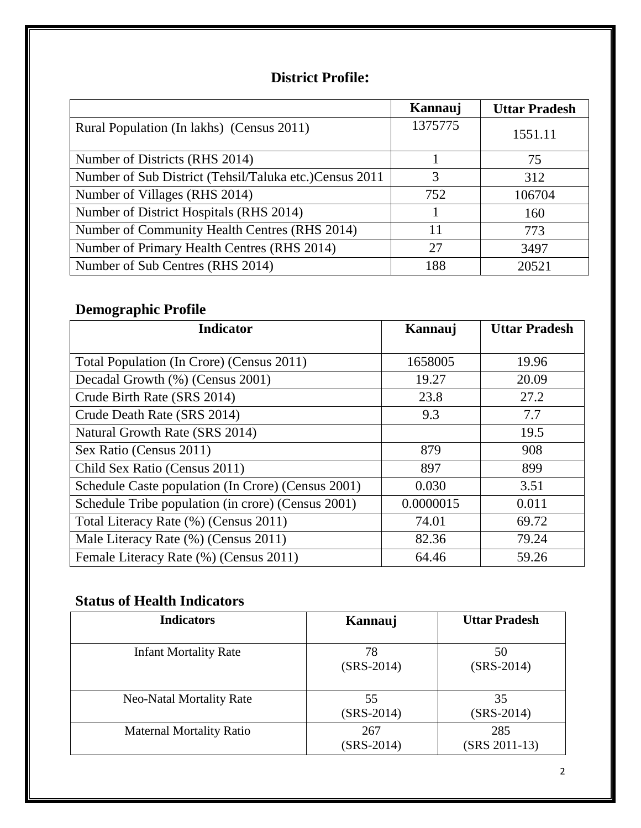#### **District Profile:**

|                                                        | Kannauj | <b>Uttar Pradesh</b> |
|--------------------------------------------------------|---------|----------------------|
| Rural Population (In lakhs) (Census 2011)              | 1375775 | 1551.11              |
| Number of Districts (RHS 2014)                         |         | 75                   |
| Number of Sub District (Tehsil/Taluka etc.)Census 2011 | 3       | 312                  |
| Number of Villages (RHS 2014)                          | 752     | 106704               |
| Number of District Hospitals (RHS 2014)                |         | 160                  |
| Number of Community Health Centres (RHS 2014)          | 11      | 773                  |
| Number of Primary Health Centres (RHS 2014)            | 27      | 3497                 |
| Number of Sub Centres (RHS 2014)                       | 188     | 20521                |

#### **Demographic Profile**

| <b>Indicator</b>                                   | Kannauj   | <b>Uttar Pradesh</b> |
|----------------------------------------------------|-----------|----------------------|
|                                                    |           |                      |
| Total Population (In Crore) (Census 2011)          | 1658005   | 19.96                |
| Decadal Growth (%) (Census 2001)                   | 19.27     | 20.09                |
| Crude Birth Rate (SRS 2014)                        | 23.8      | 27.2                 |
| Crude Death Rate (SRS 2014)                        | 9.3       | 7.7                  |
| Natural Growth Rate (SRS 2014)                     |           | 19.5                 |
| Sex Ratio (Census 2011)                            | 879       | 908                  |
| Child Sex Ratio (Census 2011)                      | 897       | 899                  |
| Schedule Caste population (In Crore) (Census 2001) | 0.030     | 3.51                 |
| Schedule Tribe population (in crore) (Census 2001) | 0.0000015 | 0.011                |
| Total Literacy Rate (%) (Census 2011)              | 74.01     | 69.72                |
| Male Literacy Rate (%) (Census 2011)               | 82.36     | 79.24                |
| Female Literacy Rate (%) (Census 2011)             | 64.46     | 59.26                |

#### **Status of Health Indicators**

| <b>Indicators</b>               | Kannauj             | <b>Uttar Pradesh</b> |
|---------------------------------|---------------------|----------------------|
| <b>Infant Mortality Rate</b>    | 78<br>$(SRS-2014)$  | 50<br>$(SRS-2014)$   |
| <b>Neo-Natal Mortality Rate</b> | 55<br>$(SRS-2014)$  | 35<br>$(SRS-2014)$   |
| <b>Maternal Mortality Ratio</b> | 267<br>$(SRS-2014)$ | 285<br>(SRS 2011-13) |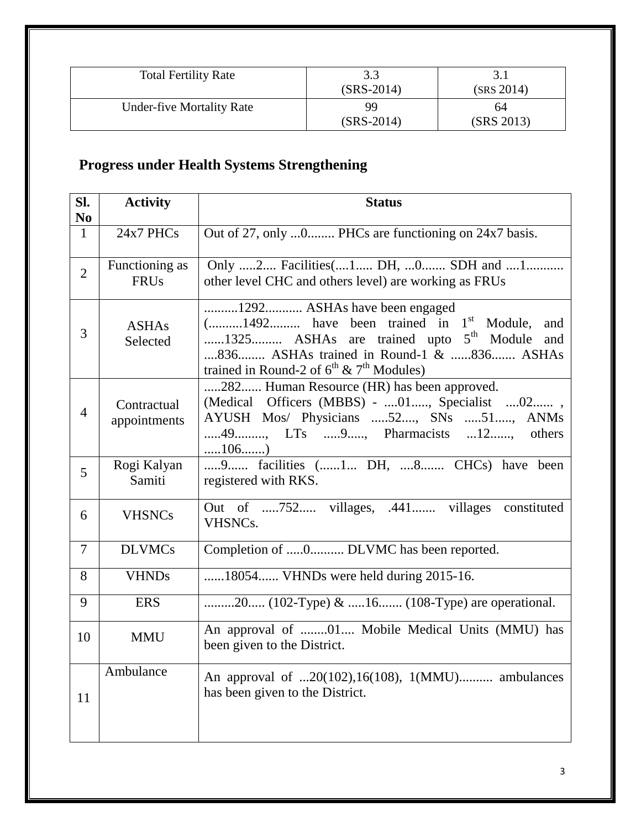| <b>Total Fertility Rate</b>      | 3.3<br>$(SRS-2014)$ | (SRS 2014)       |
|----------------------------------|---------------------|------------------|
| <b>Under-five Mortality Rate</b> | 99<br>$(SRS-2014)$  | 64<br>(SRS 2013) |

### **Progress under Health Systems Strengthening**

| SI.            | <b>Activity</b>               | <b>Status</b>                                                                                                                                                                                                                                               |
|----------------|-------------------------------|-------------------------------------------------------------------------------------------------------------------------------------------------------------------------------------------------------------------------------------------------------------|
| N <sub>0</sub> |                               |                                                                                                                                                                                                                                                             |
| $\mathbf{1}$   | 24x7 PHCs                     | Out of 27, only 0 PHCs are functioning on 24x7 basis.                                                                                                                                                                                                       |
| $\overline{2}$ | Functioning as<br><b>FRUs</b> | Only 2 Facilities(1 DH, 0 SDH and 1<br>other level CHC and others level) are working as FRUs                                                                                                                                                                |
| 3              | <b>ASHAs</b><br>Selected      | 1292 ASHAs have been engaged<br>$($ 1492 have been trained in 1 <sup>st</sup> Module,<br>and<br>1325 ASHAs are trained upto 5 <sup>th</sup> Module<br>and<br>836 ASHAs trained in Round-1 & 836 ASHAs<br>trained in Round-2 of $6^{th}$ & $7^{th}$ Modules) |
| $\overline{4}$ | Contractual<br>appointments   | 282 Human Resource (HR) has been approved.<br>(Medical Officers (MBBS) -  01, Specialist  02,<br>AYUSH Mos/ Physicians 52, SNs 51, ANMs<br>LTs 9, Pharmacists 12<br>49<br>others<br>106                                                                     |
| 5              | Rogi Kalyan<br>Samiti         | 9 facilities (1 DH, 8 CHCs) have been<br>registered with RKS.                                                                                                                                                                                               |
| 6              | <b>VHSNCs</b>                 | Out of 752 villages, .441 villages constituted<br>VHSNC <sub>s</sub> .                                                                                                                                                                                      |
| 7              | <b>DLVMCs</b>                 | Completion of 0 DLVMC has been reported.                                                                                                                                                                                                                    |
| 8              | <b>VHNDs</b>                  | 18054 VHNDs were held during 2015-16.                                                                                                                                                                                                                       |
| 9              | <b>ERS</b>                    | 20 (102-Type) & 16 (108-Type) are operational.                                                                                                                                                                                                              |
| 10             | <b>MMU</b>                    | An approval of 01 Mobile Medical Units (MMU) has<br>been given to the District.                                                                                                                                                                             |
| 11             | Ambulance                     | An approval of 20(102),16(108), 1(MMU) ambulances<br>has been given to the District.                                                                                                                                                                        |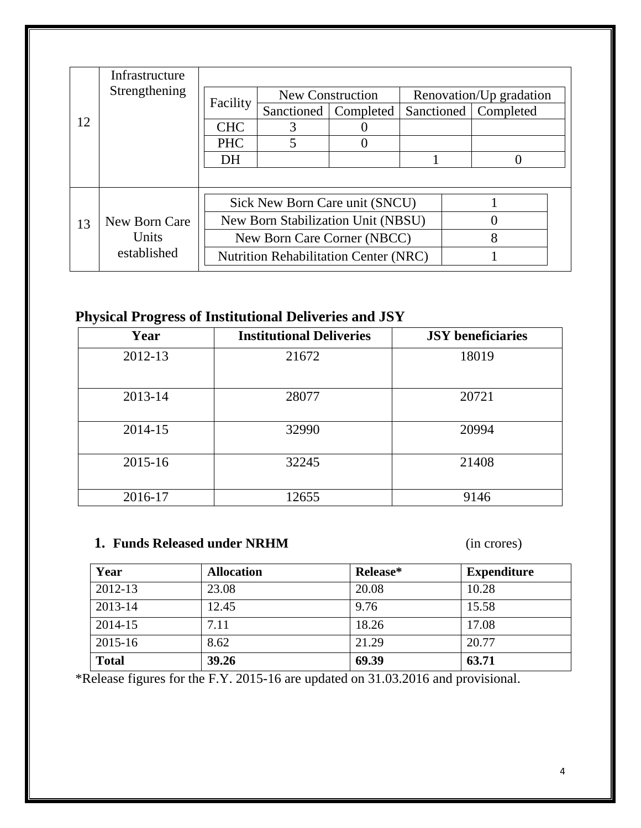|    | Infrastructure |                                              |                                |                         |   |                         |
|----|----------------|----------------------------------------------|--------------------------------|-------------------------|---|-------------------------|
|    | Strengthening  | Facility                                     |                                | <b>New Construction</b> |   | Renovation/Up gradation |
|    |                |                                              | Sanctioned                     | Completed               |   | Sanctioned   Completed  |
| 12 |                | <b>CHC</b>                                   |                                |                         |   |                         |
|    |                | <b>PHC</b>                                   | $\overline{\mathbf{5}}$        | 0                       |   |                         |
|    |                | DH                                           |                                |                         |   |                         |
|    |                |                                              |                                |                         |   |                         |
|    |                |                                              | Sick New Born Care unit (SNCU) |                         |   |                         |
| 13 | New Born Care  | New Born Stabilization Unit (NBSU)           |                                |                         |   |                         |
|    | Units          | New Born Care Corner (NBCC)                  |                                |                         | 8 |                         |
|    | established    | <b>Nutrition Rehabilitation Center (NRC)</b> |                                |                         |   |                         |
|    |                |                                              |                                |                         |   |                         |

#### **Physical Progress of Institutional Deliveries and JSY**

| Year    | <b>Institutional Deliveries</b> | <b>JSY</b> beneficiaries |
|---------|---------------------------------|--------------------------|
| 2012-13 | 21672                           | 18019                    |
| 2013-14 | 28077                           | 20721                    |
| 2014-15 | 32990                           | 20994                    |
| 2015-16 | 32245                           | 21408                    |
| 2016-17 | 12655                           | 9146                     |

#### **1. Funds Released under NRHM** (in crores)

| Year         | <b>Allocation</b> | Release* | <b>Expenditure</b> |
|--------------|-------------------|----------|--------------------|
| 2012-13      | 23.08             | 20.08    | 10.28              |
| 2013-14      | 12.45             | 9.76     | 15.58              |
| 2014-15      | 7.11              | 18.26    | 17.08              |
| 2015-16      | 8.62              | 21.29    | 20.77              |
| <b>Total</b> | 39.26             | 69.39    | 63.71              |

\*Release figures for the F.Y. 2015-16 are updated on 31.03.2016 and provisional.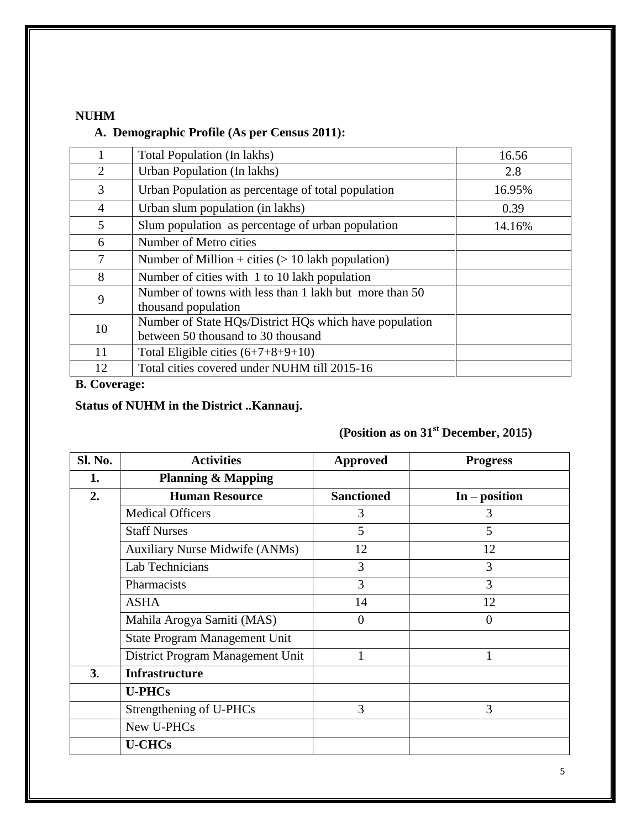#### **NUHM**

#### **A. Demographic Profile (As per Census 2011):**

|    | Total Population (In lakhs)                                                                  | 16.56  |
|----|----------------------------------------------------------------------------------------------|--------|
| 2  | Urban Population (In lakhs)                                                                  | 2.8    |
| 3  | Urban Population as percentage of total population                                           | 16.95% |
| 4  | Urban slum population (in lakhs)                                                             | 0.39   |
| 5  | Slum population as percentage of urban population                                            | 14.16% |
| 6  | Number of Metro cities                                                                       |        |
| 7  | Number of Million + cities $(> 10$ lakh population)                                          |        |
| 8  | Number of cities with 1 to 10 lakh population                                                |        |
| 9  | Number of towns with less than 1 lakh but more than 50<br>thousand population                |        |
| 10 | Number of State HQs/District HQs which have population<br>between 50 thousand to 30 thousand |        |
| 11 | Total Eligible cities $(6+7+8+9+10)$                                                         |        |
| 12 | Total cities covered under NUHM till 2015-16                                                 |        |

#### **B. Coverage:**

#### **Status of NUHM in the District ..Kannauj.**

#### **(Position as on 31st December, 2015)**

| Sl. No. | <b>Activities</b>                     | <b>Approved</b>   | <b>Progress</b> |
|---------|---------------------------------------|-------------------|-----------------|
| 1.      | <b>Planning &amp; Mapping</b>         |                   |                 |
| 2.      | <b>Human Resource</b>                 | <b>Sanctioned</b> | $In - position$ |
|         | <b>Medical Officers</b>               | 3                 | 3               |
|         | <b>Staff Nurses</b>                   | 5                 | 5               |
|         | <b>Auxiliary Nurse Midwife (ANMs)</b> | 12                | 12              |
|         | Lab Technicians                       | 3                 | 3               |
|         | Pharmacists                           | 3                 | 3               |
|         | <b>ASHA</b>                           | 14                | 12              |
|         | Mahila Arogya Samiti (MAS)            | $\Omega$          | $\theta$        |
|         | State Program Management Unit         |                   |                 |
|         | District Program Management Unit      | 1                 | 1               |
| 3.      | <b>Infrastructure</b>                 |                   |                 |
|         | <b>U-PHCs</b>                         |                   |                 |
|         | Strengthening of U-PHCs               | 3                 | 3               |
|         | New U-PHCs                            |                   |                 |
|         | <b>U-CHCs</b>                         |                   |                 |